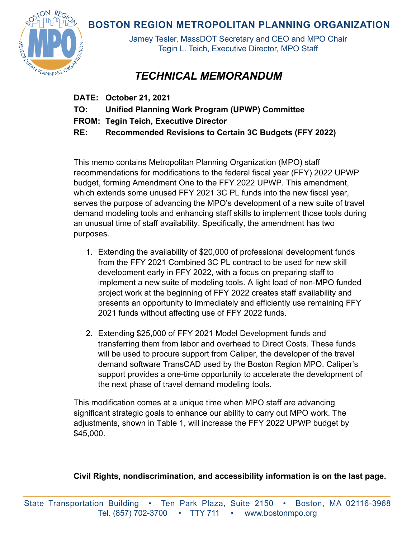**BOSTON REGION METROPOLITAN PLANNING ORGANIZATION** 



Jamey Tesler, MassDOT Secretary and CEO and MPO Chair Tegin L. Teich, Executive Director, MPO Staff

## *TECHNICAL MEMORANDUM*

- **DATE: October 21, 2021**
- **TO: Unified Planning Work Program (UPWP) Committee**
- **FROM: Tegin Teich, Executive Director**

**RE: Recommended Revisions to Certain 3C Budgets (FFY 2022)** 

This memo contains Metropolitan Planning Organization (MPO) staff recommendations for modifications to the federal fiscal year (FFY) 2022 UPWP budget, forming Amendment One to the FFY 2022 UPWP. This amendment, which extends some unused FFY 2021 3C PL funds into the new fiscal year, serves the purpose of advancing the MPO's development of a new suite of travel demand modeling tools and enhancing staff skills to implement those tools during an unusual time of staff availability. Specifically, the amendment has two purposes.

- 1. Extending the availability of \$20,000 of professional development funds from the FFY 2021 Combined 3C PL contract to be used for new skill development early in FFY 2022, with a focus on preparing staff to implement a new suite of modeling tools. A light load of non-MPO funded project work at the beginning of FFY 2022 creates staff availability and presents an opportunity to immediately and efficiently use remaining FFY 2021 funds without affecting use of FFY 2022 funds.
- 2. Extending \$25,000 of FFY 2021 Model Development funds and transferring them from labor and overhead to Direct Costs. These funds will be used to procure support from Caliper, the developer of the travel demand software TransCAD used by the Boston Region MPO. Caliper's support provides a one-time opportunity to accelerate the development of the next phase of travel demand modeling tools.

This modification comes at a unique time when MPO staff are advancing significant strategic goals to enhance our ability to carry out MPO work. The adjustments, shown in Table 1, will increase the FFY 2022 UPWP budget by \$45,000.

## **Civil Rights, nondiscrimination, and accessibility information is on the last page.**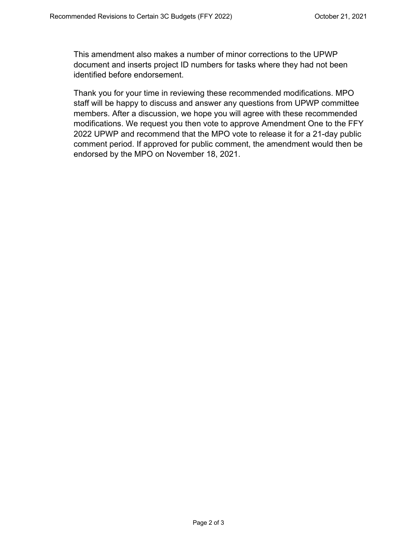This amendment also makes a number of minor corrections to the UPWP document and inserts project ID numbers for tasks where they had not been identified before endorsement.

Thank you for your time in reviewing these recommended modifications. MPO staff will be happy to discuss and answer any questions from UPWP committee members. After a discussion, we hope you will agree with these recommended modifications. We request you then vote to approve Amendment One to the FFY 2022 UPWP and recommend that the MPO vote to release it for a 21-day public comment period. If approved for public comment, the amendment would then be endorsed by the MPO on November 18, 2021.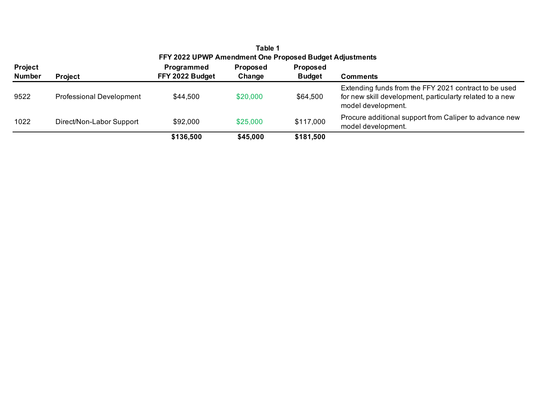| Table 1<br>FFY 2022 UPWP Amendment One Proposed Budget Adjustments |                                 |                               |                           |                                  |                                                                                                                                         |
|--------------------------------------------------------------------|---------------------------------|-------------------------------|---------------------------|----------------------------------|-----------------------------------------------------------------------------------------------------------------------------------------|
| <b>Project</b><br><b>Number</b>                                    | <b>Project</b>                  | Programmed<br>FFY 2022 Budget | <b>Proposed</b><br>Change | <b>Proposed</b><br><b>Budget</b> | <b>Comments</b>                                                                                                                         |
| 9522                                                               | <b>Professional Development</b> | \$44,500                      | \$20,000                  | \$64,500                         | Extending funds from the FFY 2021 contract to be used<br>for new skill development, particularty related to a new<br>model development. |
| 1022                                                               | Direct/Non-Labor Support        | \$92,000                      | \$25,000                  | \$117,000                        | Procure additional support from Caliper to advance new<br>model development.                                                            |
|                                                                    |                                 | \$136,500                     | \$45,000                  | \$181,500                        |                                                                                                                                         |